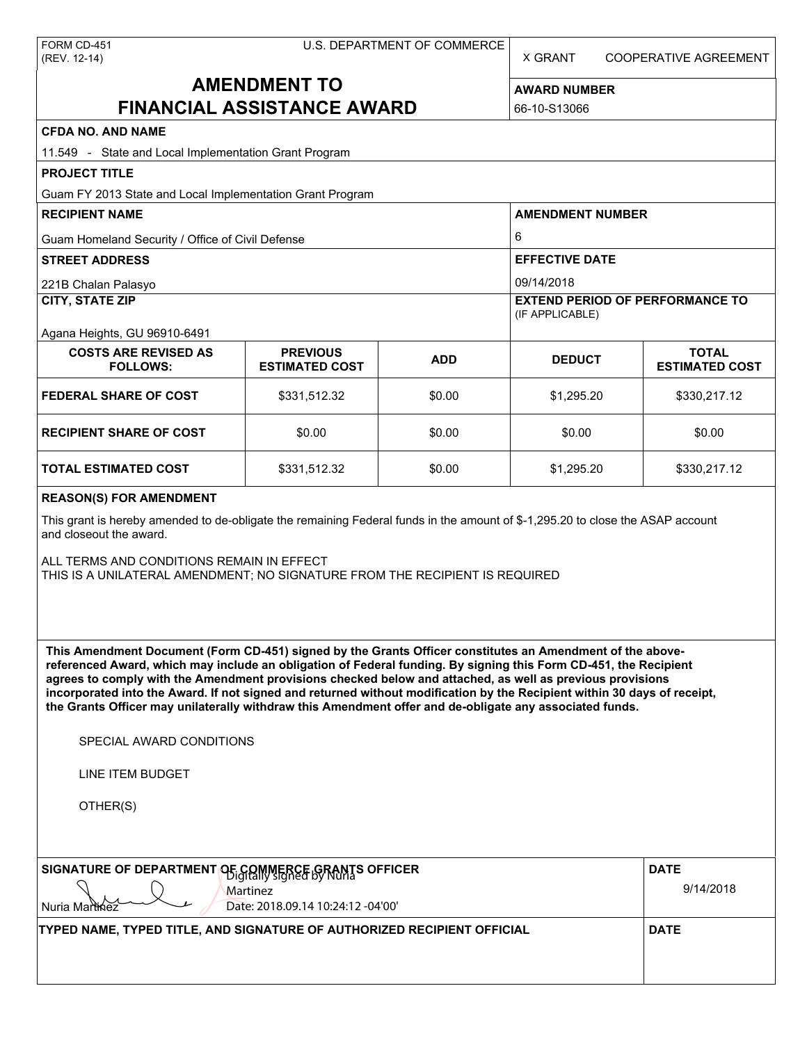X GRANT COOPERATIVE AGREEMENT

# **AMENDMENT TO FINANCIAL ASSISTANCE AWARD**

**AWARD NUMBER** 66-10-S13066

## **CFDA NO. AND NAME**

| <b>CFDA NO. AND NAME</b><br>11.549 - State and Local Implementation Grant Program                                                                                                                                                                                                                                                                                                                                                                                                                                                                                                 |                                          |                          |                                                           |                                       |  |  |  |
|-----------------------------------------------------------------------------------------------------------------------------------------------------------------------------------------------------------------------------------------------------------------------------------------------------------------------------------------------------------------------------------------------------------------------------------------------------------------------------------------------------------------------------------------------------------------------------------|------------------------------------------|--------------------------|-----------------------------------------------------------|---------------------------------------|--|--|--|
| <b>PROJECT TITLE</b>                                                                                                                                                                                                                                                                                                                                                                                                                                                                                                                                                              |                                          |                          |                                                           |                                       |  |  |  |
| Guam FY 2013 State and Local Implementation Grant Program                                                                                                                                                                                                                                                                                                                                                                                                                                                                                                                         |                                          |                          |                                                           |                                       |  |  |  |
| <b>RECIPIENT NAME</b>                                                                                                                                                                                                                                                                                                                                                                                                                                                                                                                                                             |                                          |                          | <b>AMENDMENT NUMBER</b>                                   |                                       |  |  |  |
| Guam Homeland Security / Office of Civil Defense                                                                                                                                                                                                                                                                                                                                                                                                                                                                                                                                  |                                          |                          | 6                                                         |                                       |  |  |  |
| <b>STREET ADDRESS</b>                                                                                                                                                                                                                                                                                                                                                                                                                                                                                                                                                             |                                          |                          | <b>EFFECTIVE DATE</b>                                     |                                       |  |  |  |
| 221B Chalan Palasyo                                                                                                                                                                                                                                                                                                                                                                                                                                                                                                                                                               |                                          |                          | 09/14/2018                                                |                                       |  |  |  |
| <b>CITY, STATE ZIP</b>                                                                                                                                                                                                                                                                                                                                                                                                                                                                                                                                                            |                                          |                          | <b>EXTEND PERIOD OF PERFORMANCE TO</b><br>(IF APPLICABLE) |                                       |  |  |  |
| Agana Heights, GU 96910-6491                                                                                                                                                                                                                                                                                                                                                                                                                                                                                                                                                      |                                          |                          |                                                           |                                       |  |  |  |
| <b>COSTS ARE REVISED AS</b><br><b>FOLLOWS:</b>                                                                                                                                                                                                                                                                                                                                                                                                                                                                                                                                    | <b>PREVIOUS</b><br><b>ESTIMATED COST</b> | <b>ADD</b>               | <b>DEDUCT</b>                                             | <b>TOTAL</b><br><b>ESTIMATED COST</b> |  |  |  |
| <b>FEDERAL SHARE OF COST</b>                                                                                                                                                                                                                                                                                                                                                                                                                                                                                                                                                      | \$331,512.32                             | \$0.00                   | \$1,295.20                                                | \$330,217.12                          |  |  |  |
| <b>RECIPIENT SHARE OF COST</b>                                                                                                                                                                                                                                                                                                                                                                                                                                                                                                                                                    | \$0.00                                   | \$0.00                   | \$0.00                                                    | \$0.00                                |  |  |  |
| <b>TOTAL ESTIMATED COST</b>                                                                                                                                                                                                                                                                                                                                                                                                                                                                                                                                                       | \$331,512.32                             | \$0.00                   | \$1,295.20                                                | \$330,217.12                          |  |  |  |
| <b>REASON(S) FOR AMENDMENT</b>                                                                                                                                                                                                                                                                                                                                                                                                                                                                                                                                                    |                                          |                          |                                                           |                                       |  |  |  |
| This grant is hereby amended to de-obligate the remaining Federal funds in the amount of \$-1,295.20 to close the ASAP account<br>and closeout the award.<br>ALL TERMS AND CONDITIONS REMAIN IN EFFECT<br>THIS IS A UNILATERAL AMENDMENT; NO SIGNATURE FROM THE RECIPIENT IS REQUIRED                                                                                                                                                                                                                                                                                             |                                          |                          |                                                           |                                       |  |  |  |
| This Amendment Document (Form CD-451) signed by the Grants Officer constitutes an Amendment of the above-<br>referenced Award, which may include an obligation of Federal funding. By signing this Form CD-451, the Recipient<br>agrees to comply with the Amendment provisions checked below and attached, as well as previous provisions<br>incorporated into the Award. If not signed and returned without modification by the Recipient within 30 days of receipt,<br>the Grants Officer may unilaterally withdraw this Amendment offer and de-obligate any associated funds. |                                          |                          |                                                           |                                       |  |  |  |
| SPECIAL AWARD CONDITIONS                                                                                                                                                                                                                                                                                                                                                                                                                                                                                                                                                          |                                          |                          |                                                           |                                       |  |  |  |
| LINE ITEM BUDGET                                                                                                                                                                                                                                                                                                                                                                                                                                                                                                                                                                  |                                          |                          |                                                           |                                       |  |  |  |
| OTHER(S)                                                                                                                                                                                                                                                                                                                                                                                                                                                                                                                                                                          |                                          |                          |                                                           |                                       |  |  |  |
| <b>SIGNATURE OF DEPARTMENT</b><br><b>PE GRIMMERGE GRANTS OFFICER</b><br>Martinez<br>Date: 2018.09.14 10:24:12 -04'00'<br>Nuria Marthez                                                                                                                                                                                                                                                                                                                                                                                                                                            |                                          | <b>DATE</b><br>9/14/2018 |                                                           |                                       |  |  |  |
| TYPED NAME, TYPED TITLE, AND SIGNATURE OF AUTHORIZED RECIPIENT OFFICIAL                                                                                                                                                                                                                                                                                                                                                                                                                                                                                                           |                                          |                          |                                                           | <b>DATE</b>                           |  |  |  |